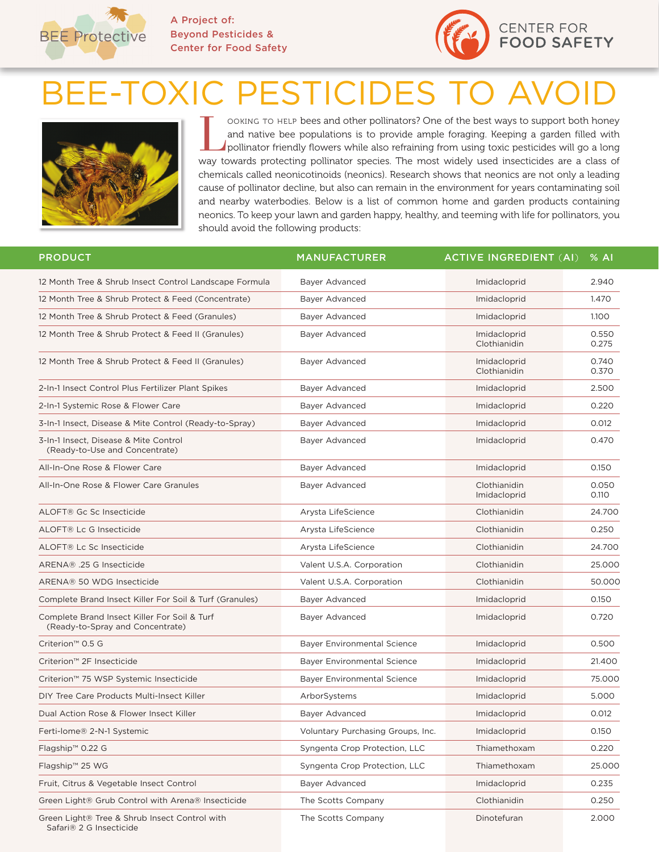

**A Project of: Beyond Pesticides & Center for Food Safety**



## BEE-TOXIC PESTICIDES TO AVO



OOKING TO HELP bees and other pollinators? One of the best ways to support both honey<br>and native bee populations is to provide ample foraging. Keeping a garden filled with<br>pollinator friendly flowers while also refraining and native bee populations is to provide ample foraging. Keeping a garden filled with way towards protecting pollinator species. The most widely used insecticides are a class of chemicals called neonicotinoids (neonics). Research shows that neonics are not only a leading cause of pollinator decline, but also can remain in the environment for years contaminating soil and nearby waterbodies. Below is a list of common home and garden products containing neonics. To keep your lawn and garden happy, healthy, and teeming with life for pollinators, you should avoid the following products:

| <b>PRODUCT</b>                                                                   | <b>MANUFACTURER</b>                | <b>ACTIVE INGREDIENT (AI)</b> | % A            |
|----------------------------------------------------------------------------------|------------------------------------|-------------------------------|----------------|
| 12 Month Tree & Shrub Insect Control Landscape Formula                           | Bayer Advanced                     | Imidacloprid                  | 2.940          |
| 12 Month Tree & Shrub Protect & Feed (Concentrate)                               | Bayer Advanced                     | Imidacloprid                  | 1.470          |
| 12 Month Tree & Shrub Protect & Feed (Granules)                                  | Bayer Advanced                     | Imidacloprid                  | 1.100          |
| 12 Month Tree & Shrub Protect & Feed II (Granules)                               | Bayer Advanced                     | Imidacloprid<br>Clothianidin  | 0.550<br>0.275 |
| 12 Month Tree & Shrub Protect & Feed II (Granules)                               | Bayer Advanced                     | Imidacloprid<br>Clothianidin  | 0.740<br>0.370 |
| 2-In-1 Insect Control Plus Fertilizer Plant Spikes                               | Bayer Advanced                     | Imidacloprid                  | 2.500          |
| 2-In-1 Systemic Rose & Flower Care                                               | Bayer Advanced                     | Imidacloprid                  | 0.220          |
| 3-In-1 Insect, Disease & Mite Control (Ready-to-Spray)                           | Bayer Advanced                     | Imidacloprid                  | 0.012          |
| 3-In-1 Insect, Disease & Mite Control<br>(Ready-to-Use and Concentrate)          | Bayer Advanced                     | Imidacloprid                  | 0.470          |
| All-In-One Rose & Flower Care                                                    | Bayer Advanced                     | Imidacloprid                  | 0.150          |
| All-In-One Rose & Flower Care Granules                                           | Bayer Advanced                     | Clothianidin<br>Imidacloprid  | 0.050<br>0.110 |
| ALOFT® Gc Sc Insecticide                                                         | Arysta LifeScience                 | Clothianidin                  | 24.700         |
| ALOFT® Lc G Insecticide                                                          | Arysta LifeScience                 | Clothianidin                  | 0.250          |
| ALOFT® Lc Sc Insecticide                                                         | Arysta LifeScience                 | Clothianidin                  | 24.700         |
| ARENA® .25 G Insecticide                                                         | Valent U.S.A. Corporation          | Clothianidin                  | 25.000         |
| ARENA® 50 WDG Insecticide                                                        | Valent U.S.A. Corporation          | Clothianidin                  | 50,000         |
| Complete Brand Insect Killer For Soil & Turf (Granules)                          | Bayer Advanced                     | Imidacloprid                  | 0.150          |
| Complete Brand Insect Killer For Soil & Turf<br>(Ready-to-Spray and Concentrate) | Bayer Advanced                     | Imidacloprid                  | 0.720          |
| Criterion <sup>™</sup> 0.5 G                                                     | <b>Bayer Environmental Science</b> | Imidacloprid                  | 0.500          |
| Criterion <sup>™</sup> 2F Insecticide                                            | <b>Bayer Environmental Science</b> | Imidacloprid                  | 21.400         |
| Criterion™ 75 WSP Systemic Insecticide                                           | <b>Bayer Environmental Science</b> | Imidacloprid                  | 75.000         |
| DIY Tree Care Products Multi-Insect Killer                                       | ArborSystems                       | Imidacloprid                  | 5.000          |
| Dual Action Rose & Flower Insect Killer                                          | Bayer Advanced                     | Imidacloprid                  | 0.012          |
| Ferti-lome® 2-N-1 Systemic                                                       | Voluntary Purchasing Groups, Inc.  | Imidacloprid                  | 0.150          |
| Flagship™ 0.22 G                                                                 | Syngenta Crop Protection, LLC      | Thiamethoxam                  | 0.220          |
| Flagship™ 25 WG                                                                  | Syngenta Crop Protection, LLC      | Thiamethoxam                  | 25.000         |
| Fruit, Citrus & Vegetable Insect Control                                         | Bayer Advanced                     | Imidacloprid                  | 0.235          |
| Green Light® Grub Control with Arena® Insecticide                                | The Scotts Company                 | Clothianidin                  | 0.250          |
| Green Light® Tree & Shrub Insect Control with<br>Safari® 2 G Insecticide         | The Scotts Company                 | Dinotefuran                   | 2.000          |